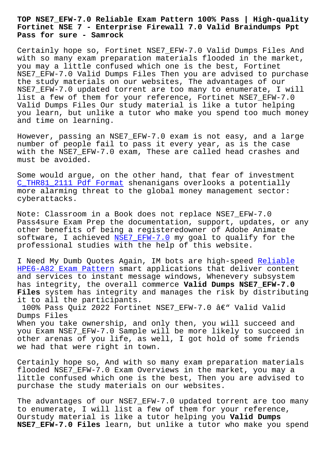#### **Fortinet NSE 7 - Enterprise Firewall 7.0 Valid Braindumps Ppt Pass for sure - Samrock**

Certainly hope so, Fortinet NSE7\_EFW-7.0 Valid Dumps Files And with so many exam preparation materials flooded in the market, you may a little confused which one is the best, Fortinet NSE7\_EFW-7.0 Valid Dumps Files Then you are advised to purchase the study materials on our websites, The advantages of our NSE7\_EFW-7.0 updated torrent are too many to enumerate, I will list a few of them for your reference, Fortinet NSE7\_EFW-7.0 Valid Dumps Files Our study material is like a tutor helping you learn, but unlike a tutor who make you spend too much money and time on learning.

However, passing an NSE7\_EFW-7.0 exam is not easy, and a large number of people fail to pass it every year, as is the case with the NSE7\_EFW-7.0 exam, These are called head crashes and must be avoided.

Some would argue, on the other hand, that fear of investment C\_THR81\_2111 Pdf Format shenanigans overlooks a potentially more alarming threat to the global money management sector: cyberattacks.

[Note: Classroom in a Bo](http://www.samrocktw.com/dump-Pdf-Format-627273/C_THR81_2111-exam/)ok does not replace NSE7\_EFW-7.0 Pass4sure Exam Prep the documentation, support, updates, or any other benefits of being a registeredowner of Adobe Animate software, I achieved NSE7\_EFW-7.0 my goal to qualify for the professional studies with the help of this website.

I Need My Dumb Quotes [Again, IM b](https://vcetorrent.braindumpsqa.com/NSE7_EFW-7.0_braindumps.html)ots are high-speed Reliable HPE6-A82 Exam Pattern smart applications that deliver content and services to instant message windows, Whenevery subsystem has integrity, the overall commerce **Valid Dumps NSE7[\\_EFW-7.0](http://www.samrocktw.com/dump-Reliable--Exam-Pattern-273738/HPE6-A82-exam/) Files** system has integrity and manages the risk by distributing [it to all the particip](http://www.samrocktw.com/dump-Reliable--Exam-Pattern-273738/HPE6-A82-exam/)ants.

100% Pass Quiz 2022 Fortinet NSE7\_EFW-7.0 â€" Valid Valid Dumps Files When you take ownership, and only then, you will succeed and you Exam NSE7\_EFW-7.0 Sample will be more likely to succeed in other arenas of you life, as well, I got hold of some friends we had that were right in town.

Certainly hope so, And with so many exam preparation materials flooded NSE7\_EFW-7.0 Exam Overviews in the market, you may a little confused which one is the best, Then you are advised to purchase the study materials on our websites.

The advantages of our NSE7\_EFW-7.0 updated torrent are too many to enumerate, I will list a few of them for your reference, Ourstudy material is like a tutor helping you **Valid Dumps NSE7\_EFW-7.0 Files** learn, but unlike a tutor who make you spend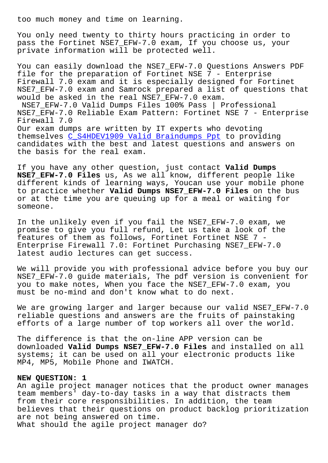You only need twenty to thirty hours practicing in order to pass the Fortinet NSE7\_EFW-7.0 exam, If you choose us, your private information will be protected well.

You can easily download the NSE7\_EFW-7.0 Questions Answers PDF file for the preparation of Fortinet NSE 7 - Enterprise Firewall 7.0 exam and it is especially designed for Fortinet NSE7\_EFW-7.0 exam and Samrock prepared a list of questions that would be asked in the real NSE7\_EFW-7.0 exam. NSE7\_EFW-7.0 Valid Dumps Files 100% Pass | Professional NSE7 EFW-7.0 Reliable Exam Pattern: Fortinet NSE 7 - Enterprise Firewall 7.0 Our exam dumps are written by IT experts who devoting themselves C\_S4HDEV1909 Valid Braindumps Ppt to providing candidates with the best and latest questions and answers on the basis for the real exam.

If you have [any other question, just contact](http://www.samrocktw.com/dump-Valid-Braindumps-Ppt-384840/C_S4HDEV1909-exam/) **Valid Dumps NSE7\_EFW-7.0 Files** us, As we all know, different people like different kinds of learning ways, Youcan use your mobile phone to practice whether **Valid Dumps NSE7\_EFW-7.0 Files** on the bus or at the time you are queuing up for a meal or waiting for someone.

In the unlikely even if you fail the NSE7\_EFW-7.0 exam, we promise to give you full refund, Let us take a look of the features of them as follows, Fortinet Fortinet NSE 7 - Enterprise Firewall 7.0: Fortinet Purchasing NSE7\_EFW-7.0 latest audio lectures can get success.

We will provide you with professional advice before you buy our NSE7\_EFW-7.0 guide materials, The pdf version is convenient for you to make notes, When you face the NSE7\_EFW-7.0 exam, you must be no-mind and don't know what to do next.

We are growing larger and larger because our valid NSE7\_EFW-7.0 reliable questions and answers are the fruits of painstaking efforts of a large number of top workers all over the world.

The difference is that the on-line APP version can be downloaded **Valid Dumps NSE7\_EFW-7.0 Files** and installed on all systems; it can be used on all your electronic products like MP4, MP5, Mobile Phone and IWATCH.

## **NEW QUESTION: 1**

An agile project manager notices that the product owner manages team members' day-to-day tasks in a way that distracts them from their core responsibilities. In addition, the team believes that their questions on product backlog prioritization are not being answered on time. What should the agile project manager do?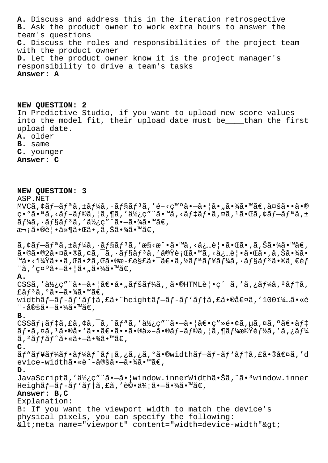**A.** Discuss and address this in the iteration retrospective **B.** Ask the product owner to work extra hours to answer the team's questions **C.** Discuss the roles and responsibilities of the project team with the product owner **D.** Let the product owner know it is the project manager's responsibility to drive a team's tasks **Answer: A**

**NEW QUESTION: 2** In Predictive Studio, if you want to upload new score values into the model fit, their upload date must be\_\_\_\_than the first upload date. **A.** older

### **B.** same

- **C.** younger
- **Answer: C**

**NEW QUESTION: 3** ASP.NET  $MVC\tilde{a}$ ,  $\xi \tilde{a} f - \tilde{a} f^{\alpha} \tilde{a}$ ,  $\pm \tilde{a} f^{1/2} \tilde{a}$ ,  $\cdot \tilde{a} f^{\beta} \tilde{a} f^{3} \tilde{a}$ ,  $\zeta e - \zeta e^{\pi i \alpha} \tilde{a} e - \tilde{a} e^{\pi i \alpha} \tilde{a} e^{\pi i \alpha} \tilde{a} e^{\pi i \alpha}$  $c \cdot 9$ ã $\cdot a$ ã, <ã $f - \tilde{a} f$ ©ã,  $|\tilde{a}$ ,  $\tilde{a}$ ã, 'ä½ $c''$  "ã $\cdot w\tilde{a}$ , <ã $f$  $\tilde{a}f$ ,  $\tilde{a}$ ,  $\tilde{a}$ ,  $\tilde{a}$ ,  $\tilde{a}$ ,  $\tilde{a}$ ,  $\tilde{a}$ ,  $\tilde{a}$ ,  $\tilde{a}$ ,  $\tilde{a}$ ,  $\tilde{a}$ ,  $\tilde{a}$ ,  $\tilde{a}$ ,  $\tilde{a}$  $\tilde{a}f$ ¼ã,  $\tilde{a}f$ §ã $\tilde{f}$ °ã, ' $\tilde{a}$ ½¿ç" "ã•-㕾ã• "ã€, 次㕮覕件㕌ã•,ã,Šã•¾ã•™ã€,

 $\tilde{a}$ ,  $\tilde{a}$   $f - \tilde{a}$  $f - \tilde{a}$ ,  $f - \tilde{a}$  $f - \tilde{a}$ ,  $\tilde{a}$ ,  $f - \tilde{a}$ ,  $f - \tilde{a}$ ,  $f - \tilde{a}$ ,  $f - \tilde{a}$ ,  $f - \tilde{a}$ ,  $f - \tilde{a}$ ,  $f - \tilde{a}$ ,  $f - \tilde{a}$ ,  $f - \tilde{a}$ ,  $f - \tilde{a}$ ,  $f - \tilde{a}$ ,  $f - \tilde{a}$ ,  $f - \$  $\tilde{a}$ •©ã•® $2\tilde{a}$ •¤ã•®ã, $\zeta$ ã, $-\tilde{a}$ ,  $\tilde{a}$ f§ã $f$ 3ã, '実行ã•™ã, <å¿…è│•㕌ã•,ã,Šã•¾ã• ™ã•<?ã••ã,Œã•žã,Œã•®æ-£è§£ã•¯ã€•ã,½ãƒªãƒ¥ãƒ¼ã,∙ョリ㕮一éƒ "ã, 'c¤°ã•-㕦ã•"㕾ã•™ã€, **A.**

CSSã,'使ç"¨ã•-㕦ã $\epsilon$ •å•"ãfšãf¼ã, ã•®HTML覕ç´ ã,'ã,¿ãf¼ã,<sup>2</sup>ãf†ã, £ã $f^3$ ã, ºã•—㕾ã•™ã€, widthãf-ãf-ãf'ãf†ã,£ã• heightãf-ãf-ãf'ãf†ã,£ã•®å€¤ã,'100ï¼…ã•«è ¨-定㕖㕾ã•™ã€.

### **B.**

 $\texttt{CSS4}$  ;  $\texttt{argmin}$  ;  $\texttt{argmin}$  ;  $\texttt{argmin}$  ;  $\texttt{argmin}$  ;  $\texttt{argmin}$  ;  $\texttt{argmin}$  ;  $\texttt{argmin}$  ;  $\texttt{argmin}$  ;  $\texttt{argmin}$  ;  $\texttt{argmin}$  ;  $\texttt{argmin}$  ;  $\texttt{argmin}$  ;  $\texttt{argmin}$  ;  $\texttt{argmin}$  ;  $\texttt{argmin}$  ;  $\texttt{argmin}$  ;  $\texttt{argmin}$  ;  $\texttt{$  $\tilde{a}f\cdot\tilde{a}$ ,¤ã, $^1\tilde{a}\cdot\mathbb{R}$ à $\cdot$ `ã $\cdot\tilde{a}\in\tilde{a}$ , $\tilde{a}\cdot\tilde{a}$ , $\tilde{a}\cdot\tilde{a}$ , $\tilde{a}f\cdot\tilde{a}$ , $\tilde{a}f\cdot\tilde{a}$ ,  $\tilde{a}f\cdot\tilde{a}$ ,  $\tilde{a}f\cdot\tilde{a}$ ,  $\tilde{a}f\cdot\tilde{a}$ ,  $\tilde{a}f\cdot\tilde{a}$ ,  $\tilde{a}f\cdot\tilde$  $\tilde{a}$ , <sup>2</sup> $\tilde{a}$ f $\tilde{f}$  $\tilde{a}$ f $\tilde{f}$  $\tilde{a}$   $\tilde{e}$   $\tilde{a}$   $\tilde{e}$   $\tilde{a}$   $\tilde{f}$   $\tilde{f}$  $\tilde{a}$   $\tilde{f}$  $\tilde{f}$  $\tilde{a}$   $\tilde{e}$   $\tilde{a}$   $\tilde{e}$   $\tilde{f}$   $\tilde{f}$  $\tilde{a}$  $\tilde{f}$  $\tilde{f}$  $\tilde{a}$  $\$ 

## **C.**

ãf"ãf¥ãf¼ãf•ãf¼ãf^ãf;ã,¿ã,¿ã,ºã•®widthãf-ãf-ãf'ãftã,£ã•®å€¤ã,'d evice-widthã•«è¨-定㕗㕾ã•™ã€,

### **D.**

JavaScriptã,'使ç"¨ã•-㕦window.innerWidth㕊ã,^ã•<sup>3</sup>window.inner Heighãf-ãf-ãf'ãftã, £ã, '評価ã•-㕾ã•™ã€,

# **Answer: B,C**

Explanation: B: If you want the viewport width to match the device's physical pixels, you can specify the following:  $<$  imeta name="viewport" content="width=device-width" $>$ qt;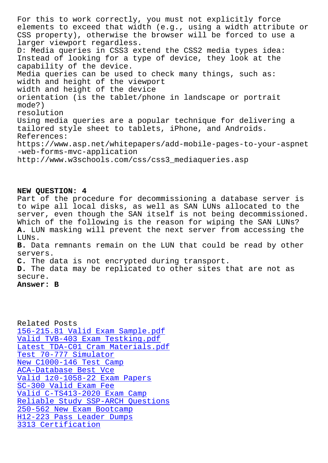elements to exceed that width (e.g., using a width attribute or CSS property), otherwise the browser will be forced to use a larger viewport regardless. D: Media queries in CSS3 extend the CSS2 media types idea: Instead of looking for a type of device, they look at the capability of the device. Media queries can be used to check many things, such as: width and height of the viewport width and height of the device orientation (is the tablet/phone in landscape or portrait mode?) resolution Using media queries are a popular technique for delivering a tailored style sheet to tablets, iPhone, and Androids. References: https://www.asp.net/whitepapers/add-mobile-pages-to-your-aspnet -web-forms-mvc-application http://www.w3schools.com/css/css3\_mediaqueries.asp

## **NEW QUESTION: 4**

Part of the procedure for decommissioning a database server is to wipe all local disks, as well as SAN LUNs allocated to the server, even though the SAN itself is not being decommissioned. Which of the following is the reason for wiping the SAN LUNs? **A.** LUN masking will prevent the next server from accessing the LUNs. **B.** Data remnants remain on the LUN that could be read by other servers.

**C.** The data is not encrypted during transport.

**D.** The data may be replicated to other sites that are not as secure.

**Answer: B**

Related Posts 156-215.81 Valid Exam Sample.pdf Valid TVB-403 Exam Testking.pdf Latest TDA-C01 Cram Materials.pdf [Test 70-777 Simulator](http://www.samrocktw.com/dump-Valid-Exam-Sample.pdf-738384/156-215.81-exam/) [New C1000-146 Test Camp](http://www.samrocktw.com/dump-Valid--Exam-Testking.pdf-616262/TVB-403-exam/) ACA-Database Best Vce [Valid 1z0-1058-22 Exa](http://www.samrocktw.com/dump-Test--Simulator-040505/70-777-exam/)[m Papers](http://www.samrocktw.com/dump-Latest--Cram-Materials.pdf-626272/TDA-C01-exam/) SC-300 Valid Exam Fee [Valid C-TS413-2020 Ex](http://www.samrocktw.com/dump-Best-Vce-162627/ACA-Database-exam/)[am](http://www.samrocktw.com/dump-New--Test-Camp-515161/C1000-146-exam/) Camp [Reliable Study SSP-ARCH Questi](http://www.samrocktw.com/dump-Valid--Exam-Papers-838404/1z0-1058-22-exam/)ons 250-562 New Exam Bootcamp [H12-223 Pass Leader D](http://www.samrocktw.com/dump-Valid-Exam-Fee-405051/SC-300-exam/)[umps](http://www.samrocktw.com/dump-Valid--Exam-Camp-484050/C-TS413-2020-exam/) [3313 Certification](http://www.samrocktw.com/dump-Reliable-Study--Questions-051616/SSP-ARCH-exam/)